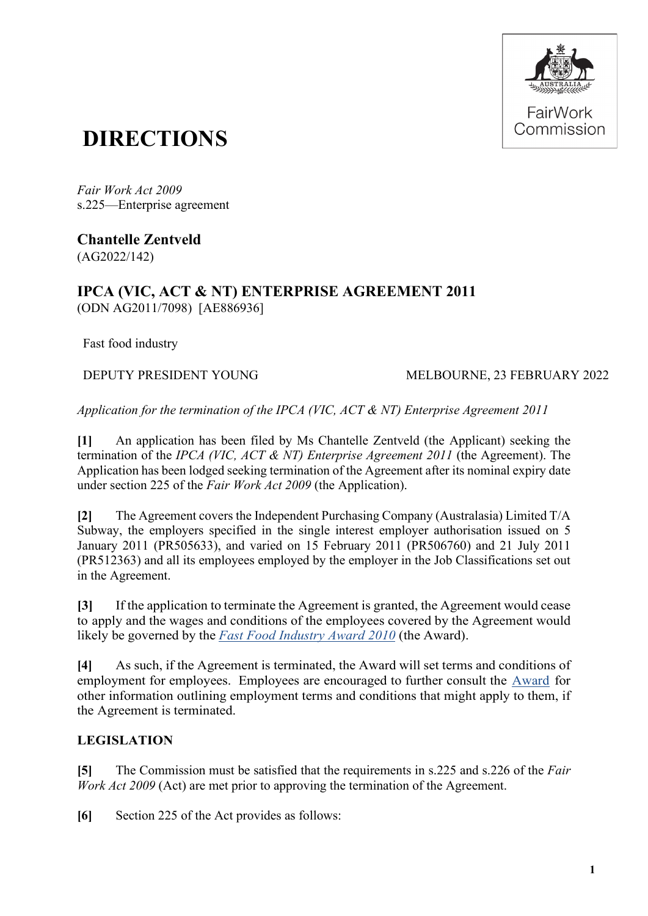

# **DIRECTIONS**

*Fair Work Act 2009*  s.225—Enterprise agreement

**Chantelle Zentveld** (AG2022/142)

## **IPCA (VIC, ACT & NT) ENTERPRISE AGREEMENT 2011** (ODN AG2011/7098) [AE886936]

Fast food industry

DEPUTY PRESIDENT YOUNG MELBOURNE, 23 FEBRUARY 2022

*Application for the termination of the IPCA (VIC, ACT & NT) Enterprise Agreement 2011*

**[1]** An application has been filed by Ms Chantelle Zentveld (the Applicant) seeking the termination of the *IPCA (VIC, ACT & NT) Enterprise Agreement 2011* (the Agreement). The Application has been lodged seeking termination of the Agreement after its nominal expiry date under section 225 of the *Fair Work Act 2009* (the Application).

**[2]** The Agreement covers the Independent Purchasing Company (Australasia) Limited T/A Subway, the employers specified in the single interest employer authorisation issued on 5 January 2011 (PR505633), and varied on 15 February 2011 (PR506760) and 21 July 2011 (PR512363) and all its employees employed by the employer in the Job Classifications set out in the Agreement.

**[3]** If the application to terminate the Agreement is granted, the Agreement would cease to apply and the wages and conditions of the employees covered by the Agreement would likely be governed by the *[Fast Food Industry Award 2010](https://awardviewer.fwo.gov.au/award/show/MA000003)* (the Award).

**[4]** As such, if the Agreement is terminated, the Award will set terms and conditions of employment for employees. Employees are encouraged to further consult the [Award](https://awardviewer.fwo.gov.au/award/show/MA000003) for other information outlining employment terms and conditions that might apply to them, if the Agreement is terminated.

## **LEGISLATION**

**[5]** The Commission must be satisfied that the requirements in s.225 and s.226 of the *Fair Work Act 2009* (Act) are met prior to approving the termination of the Agreement.

**[6]** Section 225 of the Act provides as follows: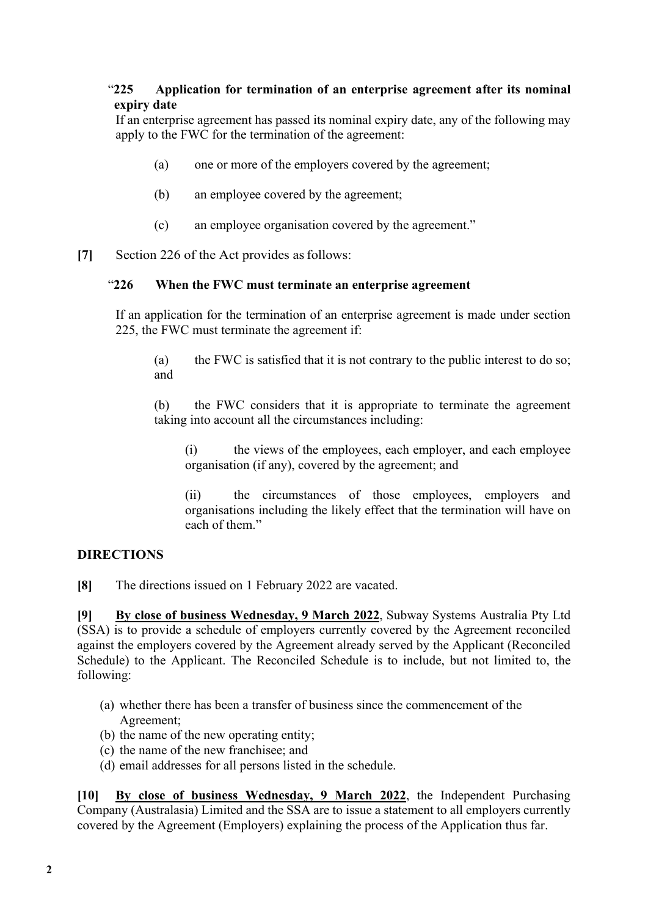### "**225 Application for termination of an enterprise agreement after its nominal expiry date**

If an enterprise agreement has passed its nominal expiry date, any of the following may apply to the FWC for the termination of the agreement:

- (a) one or more of the employers covered by the agreement;
- (b) an employee covered by the agreement;
- (c) an employee organisation covered by the agreement."
- **[7]** Section 226 of the Act provides asfollows:

#### "**226 When the FWC must terminate an enterprise agreement**

If an application for the termination of an enterprise agreement is made under section 225, the FWC must terminate the agreement if:

(a) the FWC is satisfied that it is not contrary to the public interest to do so; and

(b) the FWC considers that it is appropriate to terminate the agreement taking into account all the circumstances including:

(i) the views of the employees, each employer, and each employee organisation (if any), covered by the agreement; and

(ii) the circumstances of those employees, employers and organisations including the likely effect that the termination will have on each of them."

#### **DIRECTIONS**

**[8]** The directions issued on 1 February 2022 are vacated.

**[9] By close of business Wednesday, 9 March 2022**, Subway Systems Australia Pty Ltd (SSA) is to provide a schedule of employers currently covered by the Agreement reconciled against the employers covered by the Agreement already served by the Applicant (Reconciled Schedule) to the Applicant. The Reconciled Schedule is to include, but not limited to, the following:

- (a) whether there has been a transfer of business since the commencement of the Agreement;
- (b) the name of the new operating entity;
- (c) the name of the new franchisee; and
- (d) email addresses for all persons listed in the schedule.

**[10] By close of business Wednesday, 9 March 2022**, the Independent Purchasing Company (Australasia) Limited and the SSA are to issue a statement to all employers currently covered by the Agreement (Employers) explaining the process of the Application thus far.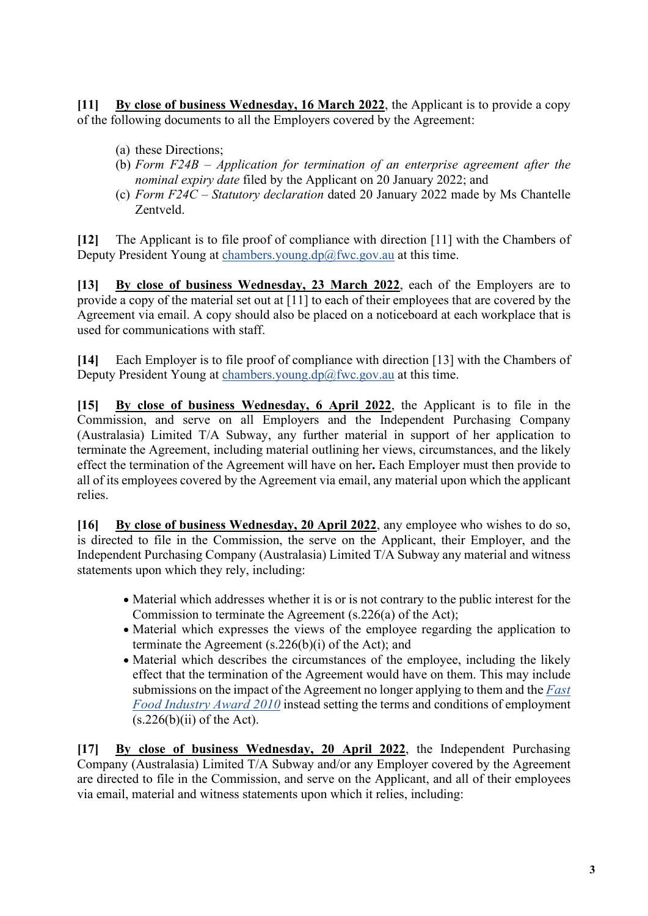**[11] By close of business Wednesday, 16 March 2022**, the Applicant is to provide a copy of the following documents to all the Employers covered by the Agreement:

- (a) these Directions;
- (b) *Form F24B – Application for termination of an enterprise agreement after the nominal expiry date* filed by the Applicant on 20 January 2022; and
- (c) *Form F24C – Statutory declaration* dated 20 January 2022 made by Ms Chantelle Zentveld.

**[12]** The Applicant is to file proof of compliance with direction [11] with the Chambers of Deputy President Young at [chambers.young.dp@fwc.gov.au](mailto:chambers.young.dp@fwc.gov.au) at this time.

**[13] By close of business Wednesday, 23 March 2022**, each of the Employers are to provide a copy of the material set out at [11] to each of their employees that are covered by the Agreement via email. A copy should also be placed on a noticeboard at each workplace that is used for communications with staff.

**[14]** Each Employer is to file proof of compliance with direction [13] with the Chambers of Deputy President Young at [chambers.young.dp@fwc.gov.au](mailto:chambers.young.dp@fwc.gov.au) at this time.

**[15] By close of business Wednesday, 6 April 2022**, the Applicant is to file in the Commission, and serve on all Employers and the Independent Purchasing Company (Australasia) Limited T/A Subway, any further material in support of her application to terminate the Agreement, including material outlining her views, circumstances, and the likely effect the termination of the Agreement will have on her**.** Each Employer must then provide to all of its employees covered by the Agreement via email, any material upon which the applicant relies.

**[16] By close of business Wednesday, 20 April 2022**, any employee who wishes to do so, is directed to file in the Commission, the serve on the Applicant, their Employer, and the Independent Purchasing Company (Australasia) Limited T/A Subway any material and witness statements upon which they rely, including:

- Material which addresses whether it is or is not contrary to the public interest for the Commission to terminate the Agreement (s.226(a) of the Act);
- Material which expresses the views of the employee regarding the application to terminate the Agreement (s.226(b)(i) of the Act); and
- Material which describes the circumstances of the employee, including the likely effect that the termination of the Agreement would have on them. This may include submissions on the impact of the Agreement no longer applying to them and the *[Fast](https://awardviewer.fwo.gov.au/award/show/MA000003)  [Food Industry Award 2010](https://awardviewer.fwo.gov.au/award/show/MA000003)* instead setting the terms and conditions of employment  $(s.226(b)(ii)$  of the Act).

**[17] By close of business Wednesday, 20 April 2022**, the Independent Purchasing Company (Australasia) Limited T/A Subway and/or any Employer covered by the Agreement are directed to file in the Commission, and serve on the Applicant, and all of their employees via email, material and witness statements upon which it relies, including: